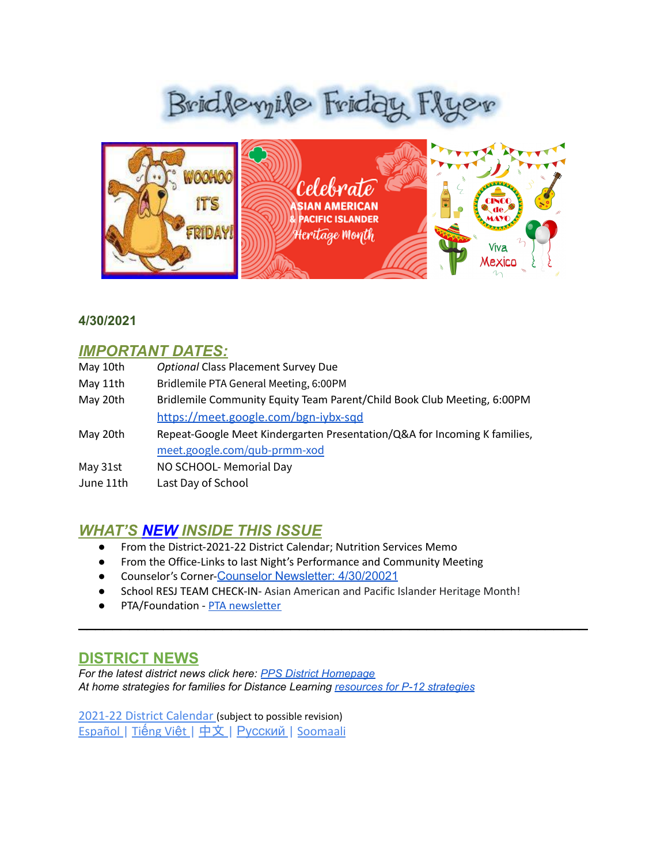# Bridleyile Friday Flyer



#### **4/30/2021**

### *IMPORTANT DATES:*

| May 10th  | <b>Optional Class Placement Survey Due</b>                                |
|-----------|---------------------------------------------------------------------------|
| May 11th  | Bridlemile PTA General Meeting, 6:00PM                                    |
| May 20th  | Bridlemile Community Equity Team Parent/Child Book Club Meeting, 6:00PM   |
|           | https://meet.google.com/bgn-iybx-sad                                      |
| May 20th  | Repeat-Google Meet Kindergarten Presentation/Q&A for Incoming K families, |
|           | meet.google.com/qub-prmm-xod                                              |
| May 31st  | NO SCHOOL- Memorial Day                                                   |
| June 11th | Last Day of School                                                        |

## *WHAT'S NEW INSIDE THIS ISSUE*

- From the District-2021-22 District Calendar; Nutrition Services Memo
- From the Office-Links to last Night's Performance and Community Meeting
- Counselor's Corner-Counselor [Newsletter:](https://www.smore.com/f7r9u) 4/30/20021
- School RESJ TEAM CHECK-IN- Asian American and Pacific Islander Heritage Month!

 $\mathcal{L}_\text{max}$  and  $\mathcal{L}_\text{max}$  and  $\mathcal{L}_\text{max}$  and  $\mathcal{L}_\text{max}$  and  $\mathcal{L}_\text{max}$  and  $\mathcal{L}_\text{max}$ 

● PTA/Foundation - PTA [newsletter](https://docs.google.com/document/d/e/2PACX-1vQlZCPHtKxqO7qpJwiwgoeaZ1ERHVLgg6z0JNYJMTulwn7xlOVY_X2I1ZV9nntsGHP57LEZ_uSufaFj/pub)

#### **DISTRICT NEWS**

*For the latest district news click here: PPS District [Homepage](https://www.pps.net/portland) At home strategies for families for Distance Learning [resources](https://sites.google.com/pps.net/athomestrategies/home) for P-12 strategies*

[2021-22 District Calendar](https://www.pps.net/cms/lib/OR01913224/Centricity/Domain/265/PPS_Calendar_2021-22_English.pdf) (subject to possible revision) [Español](https://www.pps.net/cms/lib/OR01913224/Centricity/Domain/265/PPS_Calendar_2021-22_Spanish.pdf) | Tiế[ng Vi](https://www.pps.net/cms/lib/OR01913224/Centricity/Domain/265/PPS_Calendar_2021-22_Vietnamese.pdf)ệt | [中文](https://www.pps.net/cms/lib/OR01913224/Centricity/Domain/265/PPS_Calendar_2021-22_Chinese.pdf) | [Русский](https://www.pps.net/cms/lib/OR01913224/Centricity/Domain/265/PPS_Calendar_2021-22_Russian.pdf) | [Soomaali](https://www.pps.net/cms/lib/OR01913224/Centricity/Domain/265/PPS_Calendar_2021-22_Soomaali.pdf)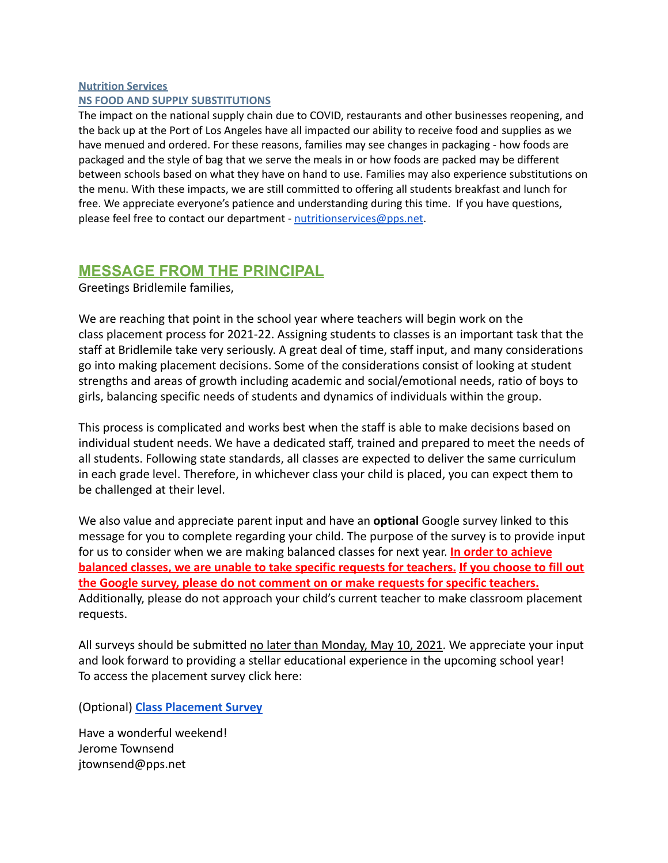#### **Nutrition Services NS FOOD AND SUPPLY SUBSTITUTIONS**

The impact on the national supply chain due to COVID, restaurants and other businesses reopening, and the back up at the Port of Los Angeles have all impacted our ability to receive food and supplies as we have menued and ordered. For these reasons, families may see changes in packaging - how foods are packaged and the style of bag that we serve the meals in or how foods are packed may be different between schools based on what they have on hand to use. Families may also experience substitutions on the menu. With these impacts, we are still committed to offering all students breakfast and lunch for free. We appreciate everyone's patience and understanding during this time. If you have questions, please feel free to contact our department - nutritionservices@pps.net.

## **MESSAGE FROM THE PRINCIPAL**

Greetings Bridlemile families,

We are reaching that point in the school year where teachers will begin work on the class placement process for 2021-22. Assigning students to classes is an important task that the staff at Bridlemile take very seriously. A great deal of time, staff input, and many considerations go into making placement decisions. Some of the considerations consist of looking at student strengths and areas of growth including academic and social/emotional needs, ratio of boys to girls, balancing specific needs of students and dynamics of individuals within the group.

This process is complicated and works best when the staff is able to make decisions based on individual student needs. We have a dedicated staff, trained and prepared to meet the needs of all students. Following state standards, all classes are expected to deliver the same curriculum in each grade level. Therefore, in whichever class your child is placed, you can expect them to be challenged at their level.

We also value and appreciate parent input and have an **optional** Google survey linked to this message for you to complete regarding your child. The purpose of the survey is to provide input for us to consider when we are making balanced classes for next year. **In order to achieve balanced classes, we are unable to take specific requests for teachers. If you choose to fill out the Google survey, please do not comment on or make requests for specific teachers.** Additionally, please do not approach your child's current teacher to make classroom placement requests.

All surveys should be submitted no later than Monday, May 10, 2021. We appreciate your input and look forward to providing a stellar educational experience in the upcoming school year! To access the placement survey click here:

(Optional) **[Class Placement Survey](https://docs.google.com/forms/d/e/1FAIpQLSdl1qvpXggpNQUIQTGtyY0rcrYNpoucYAsk0F4j-9OZw8Wisw/viewform?usp=sf_link)**

Have a wonderful weekend! Jerome Townsend jtownsend@pps.net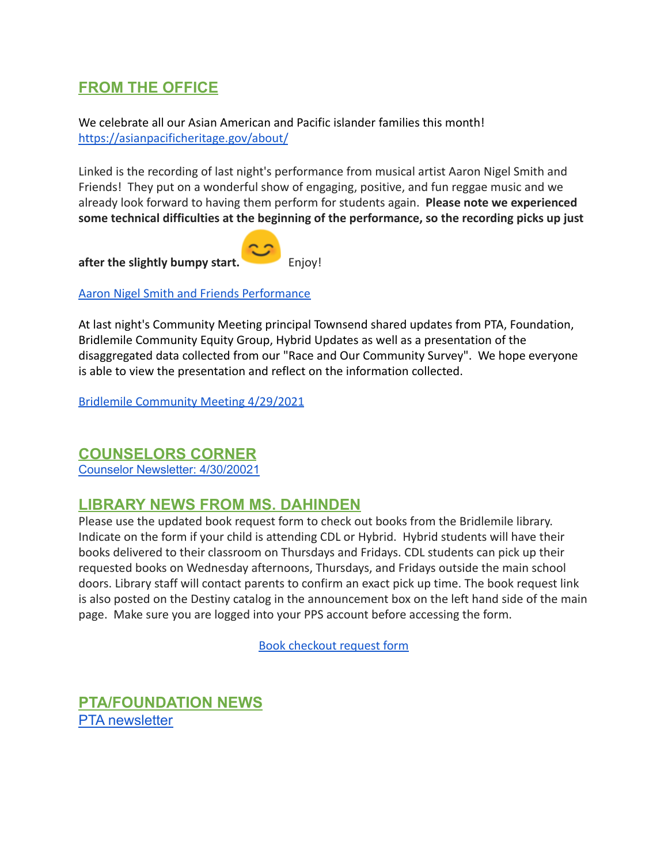## **FROM THE OFFICE**

We celebrate all our Asian American and Pacific islander families this month! <https://asianpacificheritage.gov/about/>

Linked is the recording of last night's performance from musical artist Aaron Nigel Smith and Friends! They put on a wonderful show of engaging, positive, and fun reggae music and we already look forward to having them perform for students again. **Please note we experienced some technical difficulties at the beginning of the performance, so the recording picks up just**

after the slightly bumpy start.

[Aaron Nigel Smith and Friends Performance](https://pps-net.zoom.us/rec/share/rpYZ2PvZRURxVBOxlPCZSkhGqstClULcWBp2FpRpXVot3jO9UAzWcrRwuKu0YzR0.DzjhaiKr1eT2rNSn?startTime=1619744497000)

At last night's Community Meeting principal Townsend shared updates from PTA, Foundation, Bridlemile Community Equity Group, Hybrid Updates as well as a presentation of the disaggregated data collected from our "Race and Our Community Survey". We hope everyone is able to view the presentation and reflect on the information collected.

[Bridlemile Community Meeting 4/29/2021](https://pps-net.zoom.us/rec/share/rpYZ2PvZRURxVBOxlPCZSkhGqstClULcWBp2FpRpXVot3jO9UAzWcrRwuKu0YzR0.DzjhaiKr1eT2rNSn?startTime=1619746952000)

#### **COUNSELORS CORNER**

Counselor [Newsletter:](https://www.smore.com/f7r9u) 4/30/20021

## **LIBRARY NEWS FROM MS. DAHINDEN**

Please use the updated book request form to check out books from the Bridlemile library. Indicate on the form if your child is attending CDL or Hybrid. Hybrid students will have their books delivered to their classroom on Thursdays and Fridays. CDL students can pick up their requested books on Wednesday afternoons, Thursdays, and Fridays outside the main school doors. Library staff will contact parents to confirm an exact pick up time. The book request link is also posted on the Destiny catalog in the announcement box on the left hand side of the main page. Make sure you are logged into your PPS account before accessing the form.

[Book checkout request form](https://forms.gle/Wa7o4RR6VTb3z9oo6)

**PTA/FOUNDATION NEWS** PTA [newsletter](https://docs.google.com/document/d/e/2PACX-1vQlZCPHtKxqO7qpJwiwgoeaZ1ERHVLgg6z0JNYJMTulwn7xlOVY_X2I1ZV9nntsGHP57LEZ_uSufaFj/pub)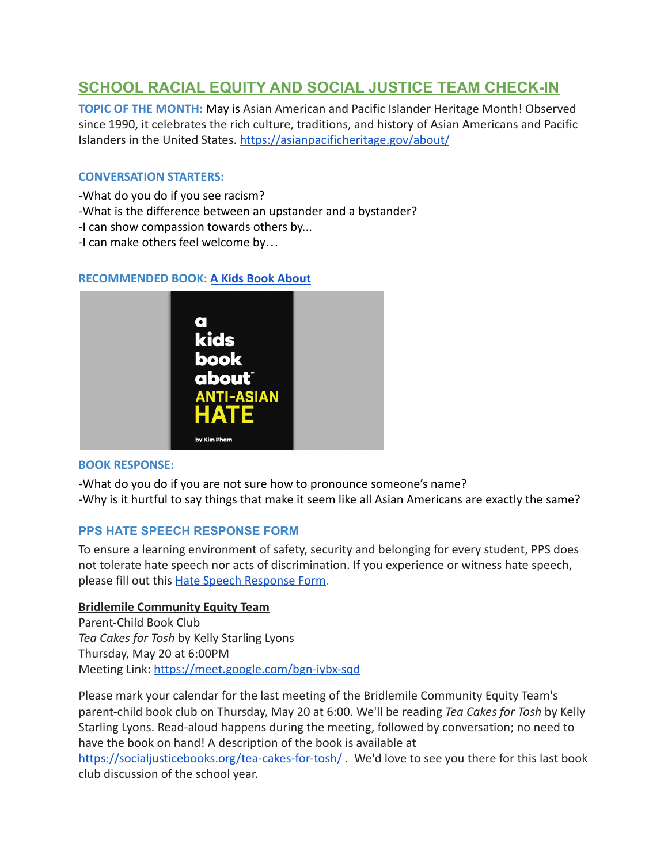## **SCHOOL RACIAL EQUITY AND SOCIAL JUSTICE TEAM CHECK-IN**

**TOPIC OF THE MONTH:** May is Asian American and Pacific Islander Heritage Month! Observed since 1990, it celebrates the rich culture, traditions, and history of Asian Americans and Pacific Islanders in the United States. <https://asianpacificheritage.gov/about/>

#### **CONVERSATION STARTERS:**

- -What do you do if you see racism?
- -What is the difference between an upstander and a bystander?
- -I can show compassion towards others by...
- -I can make others feel welcome by…

#### **RECOMMENDED BOOK: [A Kids Book About](https://drive.google.com/file/d/1hRZkuUdTmlKE74Zbgm3rUrrqvIIcVXr_/view?usp=sharing)**



#### **BOOK RESPONSE:**

-What do you do if you are not sure how to pronounce someone's name? -Why is it hurtful to say things that make it seem like all Asian Americans are exactly the same?

#### **PPS HATE SPEECH RESPONSE FORM**

To ensure a learning environment of safety, security and belonging for every student, PPS does not tolerate hate speech nor acts of discrimination. If you experience or witness hate speech, please fill out this [Hate Speech Response Form.](https://docs.google.com/forms/d/e/1FAIpQLScBgOKMOV-xv4yfPk9DnciUMqkQ7E_Us3JaXcTf_lUIUmWnoA/viewform)

#### **Bridlemile Community Equity Team**

Parent-Child Book Club *Tea Cakes for Tosh* by Kelly Starling Lyons Thursday, May 20 at 6:00PM Meeting Link: <https://meet.google.com/bgn-iybx-sqd>

Please mark your calendar for the last meeting of the Bridlemile Community Equity Team's parent-child book club on Thursday, May 20 at 6:00. We'll be reading *Tea Cakes for Tosh* by Kelly Starling Lyons. Read-aloud happens during the meeting, followed by conversation; no need to have the book on hand! A description of the book is available at

<https://socialjusticebooks.org/tea-cakes-for-tosh/> . We'd love to see you there for this last book club discussion of the school year.